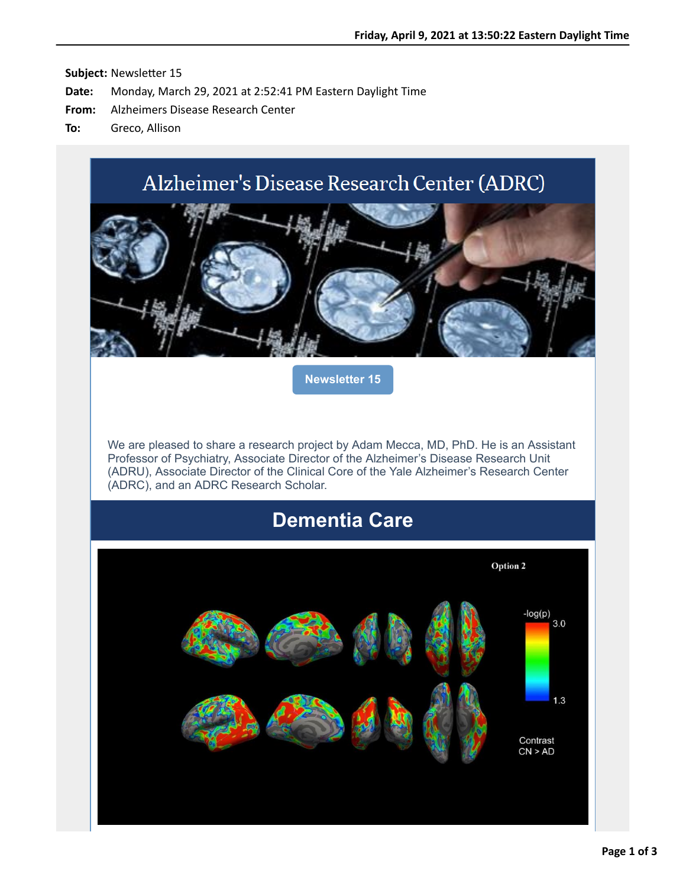# Alzheimer's Disease Research Center (ADRC)



**[Newsletter 15](https://nam12.safelinks.protection.outlook.com/?url=http%3A%2F%2Fr20.rs6.net%2Ftn.jsp%3Ff%3D001yjAVNxrJYJ2gC94qyxN-dmLUPXqn4BGhp8uhE1npt9n_F9_mhK099zqCin4fhzGtx-qvIjQKkKLqHJs2cFFUTdFbRo2pReyvK1gXvy19bkI10SkTPcpOPjZjywcVgysZudvFcASKc08S3yEQ2CMPJIZHIttTOSTENyDMqqiBzs8%3D%26c%3DWBxG9NC1XkdmxDIGP1LpX3OQtmPQSKbAgCXDcHLZNllK-OfRjT6mOw%3D%3D%26ch%3DBt3QPS2O4bU6QMNsf-ygnYFmBu6kqRUCP1qMu4h2YeWd1shvOQXL6w%3D%3D&data=04%7C01%7Callison.greco%40yale.edu%7Cf71a830da3f24b60492d08d8f2e3d386%7Cdd8cbebb21394df8b4114e3e87abeb5c%7C0%7C0%7C637526407615583983%7CUnknown%7CTWFpbGZsb3d8eyJWIjoiMC4wLjAwMDAiLCJQIjoiV2luMzIiLCJBTiI6Ik1haWwiLCJXVCI6Mn0%3D%7C1000&sdata=tqrz5w0D9eZ0mKkG8sphQGNehX1zcaoyIgjVZJOgp6k%3D&reserved=0)**

We are pleased to share a research project by Adam Mecca, MD, PhD. He is an Assistant Professor of Psychiatry, Associate Director of the Alzheimer's Disease Research Unit (ADRU), Associate Director of the Clinical Core of the Yale Alzheimer's Research Center (ADRC), and an ADRC Research Scholar.

## **Dementia Care**

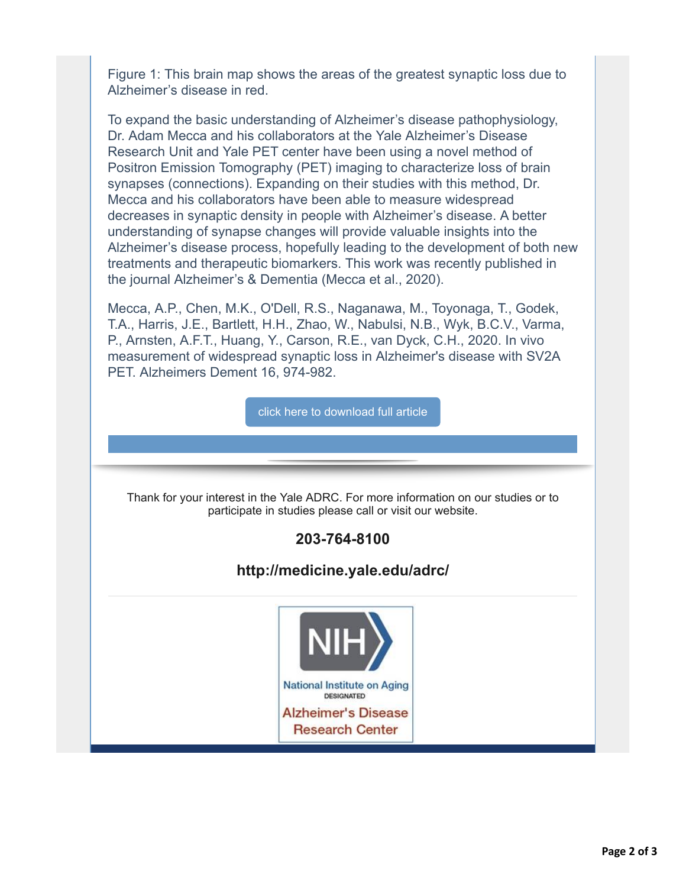Figure 1: This brain map shows the areas of the greatest synaptic loss due to Alzheimer's disease in red.

To expand the basic understanding of Alzheimer's disease pathophysiology, Dr. Adam Mecca and his collaborators at the Yale Alzheimer's Disease Research Unit and Yale PET center have been using a novel method of Positron Emission Tomography (PET) imaging to characterize loss of brain synapses (connections). Expanding on their studies with this method, Dr. Mecca and his collaborators have been able to measure widespread decreases in synaptic density in people with Alzheimer's disease. A better understanding of synapse changes will provide valuable insights into the Alzheimer's disease process, hopefully leading to the development of both new treatments and therapeutic biomarkers. This work was recently published in the journal Alzheimer's & Dementia (Mecca et al., 2020).

Mecca, A.P., Chen, M.K., O'Dell, R.S., Naganawa, M., Toyonaga, T., Godek, T.A., Harris, J.E., Bartlett, H.H., Zhao, W., Nabulsi, N.B., Wyk, B.C.V., Varma, P., Arnsten, A.F.T., Huang, Y., Carson, R.E., van Dyck, C.H., 2020. In vivo measurement of widespread synaptic loss in Alzheimer's disease with SV2A PET. Alzheimers Dement 16, 974-982.

[click here to download full article](https://nam12.safelinks.protection.outlook.com/?url=http%3A%2F%2Fr20.rs6.net%2Ftn.jsp%3Ff%3D001yjAVNxrJYJ2gC94qyxN-dmLUPXqn4BGhp8uhE1npt9n_F9_mhK099xMk-wDS_S038qtnvIBtdAVRazAmsBrz6lfC7hVCW6ygG_HqgpF54lKZYDTZ3c7KM7fpOwqZMIcITRuMmQ_xgHnNLOS4oL2UyzswEUVVK5dHDh8ifxdKjSUGnmM3MlbHtOjzKwBodoiDYQcwndk6_MCzYKzpIdlH6_oAVtSN8zONIjZuicRJM0A%3D%26c%3DWBxG9NC1XkdmxDIGP1LpX3OQtmPQSKbAgCXDcHLZNllK-OfRjT6mOw%3D%3D%26ch%3DBt3QPS2O4bU6QMNsf-ygnYFmBu6kqRUCP1qMu4h2YeWd1shvOQXL6w%3D%3D&data=04%7C01%7Callison.greco%40yale.edu%7Cf71a830da3f24b60492d08d8f2e3d386%7Cdd8cbebb21394df8b4114e3e87abeb5c%7C0%7C0%7C637526407615593982%7CUnknown%7CTWFpbGZsb3d8eyJWIjoiMC4wLjAwMDAiLCJQIjoiV2luMzIiLCJBTiI6Ik1haWwiLCJXVCI6Mn0%3D%7C1000&sdata=vHq7xZen2ECwF%2B2LB7Za3%2F%2BxQauAVKqzrepBy0kY5QI%3D&reserved=0)

Thank for your interest in the Yale ADRC. For more information on our studies or to participate in studies please call or visit our website.

### **203-764-8100**

### **http://medicine.yale.edu/adrc/**